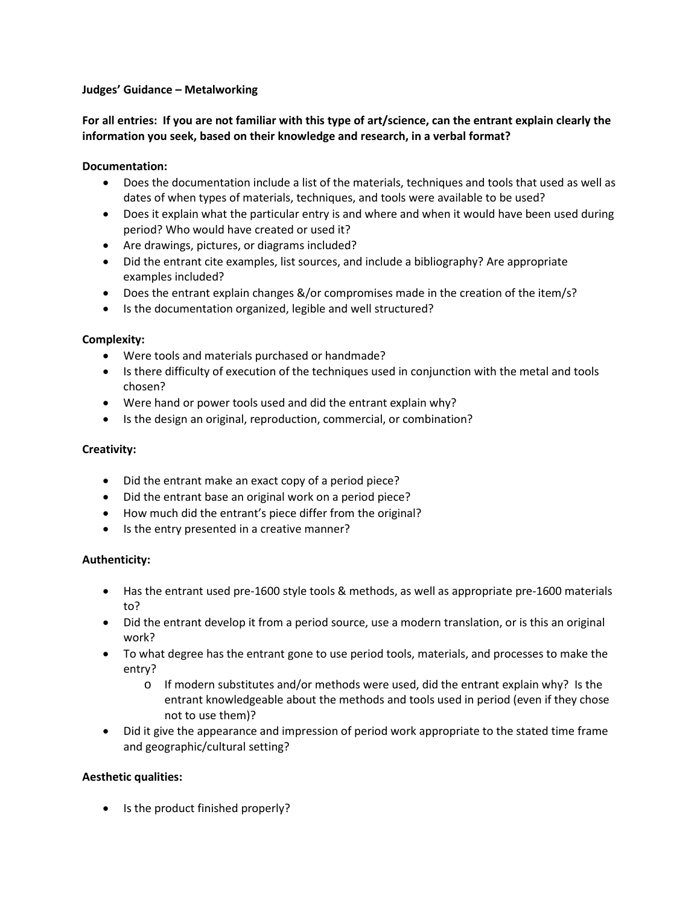#### **Judges' Guidance – Metalworking**

# **For all entries: If you are not familiar with this type of art/science, can the entrant explain clearly the information you seek, based on their knowledge and research, in a verbal format?**

## **Documentation:**

- Does the documentation include a list of the materials, techniques and tools that used as well as dates of when types of materials, techniques, and tools were available to be used?
- Does it explain what the particular entry is and where and when it would have been used during period? Who would have created or used it?
- Are drawings, pictures, or diagrams included?
- Did the entrant cite examples, list sources, and include a bibliography? Are appropriate examples included?
- Does the entrant explain changes &/or compromises made in the creation of the item/s?
- Is the documentation organized, legible and well structured?

### **Complexity:**

- Were tools and materials purchased or handmade?
- Is there difficulty of execution of the techniques used in conjunction with the metal and tools chosen?
- Were hand or power tools used and did the entrant explain why?
- Is the design an original, reproduction, commercial, or combination?

### **Creativity:**

- Did the entrant make an exact copy of a period piece?
- Did the entrant base an original work on a period piece?
- How much did the entrant's piece differ from the original?
- Is the entry presented in a creative manner?

# **Authenticity:**

- Has the entrant used pre-1600 style tools & methods, as well as appropriate pre-1600 materials to?
- Did the entrant develop it from a period source, use a modern translation, or is this an original work?
- To what degree has the entrant gone to use period tools, materials, and processes to make the entry?
	- $\circ$  If modern substitutes and/or methods were used, did the entrant explain why? Is the entrant knowledgeable about the methods and tools used in period (even if they chose not to use them)?
- Did it give the appearance and impression of period work appropriate to the stated time frame and geographic/cultural setting?

# **Aesthetic qualities:**

• Is the product finished properly?